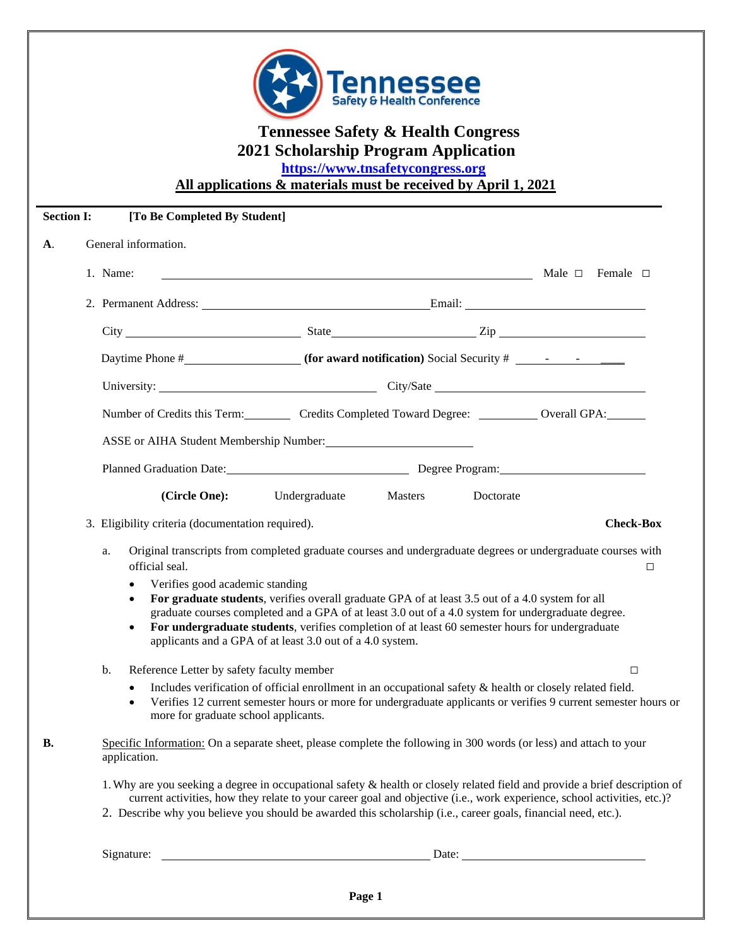

## **Tennessee Safety & Health Congress 2021 Scholarship Program Application**

 **[https://www.tnsafetycongress.org](https://www.tnsafetycongress.org/)**

**All applications & materials must be received by April 1, 2021**

| <b>Section I:</b> | [To Be Completed By Student]                                                                                                                                                                                                                                                                                                                                                                                                                                                                                                                                                                                                                                                                                                                                                              |
|-------------------|-------------------------------------------------------------------------------------------------------------------------------------------------------------------------------------------------------------------------------------------------------------------------------------------------------------------------------------------------------------------------------------------------------------------------------------------------------------------------------------------------------------------------------------------------------------------------------------------------------------------------------------------------------------------------------------------------------------------------------------------------------------------------------------------|
| <b>A</b> .        | General information.                                                                                                                                                                                                                                                                                                                                                                                                                                                                                                                                                                                                                                                                                                                                                                      |
|                   | 1. Name:<br>Nale □ Female □                                                                                                                                                                                                                                                                                                                                                                                                                                                                                                                                                                                                                                                                                                                                                               |
|                   |                                                                                                                                                                                                                                                                                                                                                                                                                                                                                                                                                                                                                                                                                                                                                                                           |
|                   |                                                                                                                                                                                                                                                                                                                                                                                                                                                                                                                                                                                                                                                                                                                                                                                           |
|                   |                                                                                                                                                                                                                                                                                                                                                                                                                                                                                                                                                                                                                                                                                                                                                                                           |
|                   |                                                                                                                                                                                                                                                                                                                                                                                                                                                                                                                                                                                                                                                                                                                                                                                           |
|                   | Number of Credits this Term: Credits Completed Toward Degree: __________ Overall GPA:                                                                                                                                                                                                                                                                                                                                                                                                                                                                                                                                                                                                                                                                                                     |
|                   | ASSE or AIHA Student Membership Number:                                                                                                                                                                                                                                                                                                                                                                                                                                                                                                                                                                                                                                                                                                                                                   |
|                   | Planned Graduation Date: Degree Program: Degree Program:                                                                                                                                                                                                                                                                                                                                                                                                                                                                                                                                                                                                                                                                                                                                  |
|                   | (Circle One):<br>Undergraduate<br>Masters<br>Doctorate                                                                                                                                                                                                                                                                                                                                                                                                                                                                                                                                                                                                                                                                                                                                    |
|                   | <b>Check-Box</b><br>3. Eligibility criteria (documentation required).                                                                                                                                                                                                                                                                                                                                                                                                                                                                                                                                                                                                                                                                                                                     |
|                   | Original transcripts from completed graduate courses and undergraduate degrees or undergraduate courses with<br>a.<br>official seal.<br>$\Box$<br>Verifies good academic standing<br>$\bullet$<br>For graduate students, verifies overall graduate GPA of at least 3.5 out of a 4.0 system for all<br>$\bullet$<br>graduate courses completed and a GPA of at least 3.0 out of a 4.0 system for undergraduate degree.<br>For undergraduate students, verifies completion of at least 60 semester hours for undergraduate<br>$\bullet$<br>applicants and a GPA of at least 3.0 out of a 4.0 system.<br>b.<br>Reference Letter by safety faculty member<br>$\Box$<br>Includes verification of official enrollment in an occupational safety & health or closely related field.<br>$\bullet$ |
|                   | Verifies 12 current semester hours or more for undergraduate applicants or verifies 9 current semester hours or<br>$\bullet$<br>more for graduate school applicants.                                                                                                                                                                                                                                                                                                                                                                                                                                                                                                                                                                                                                      |
| <b>B.</b>         | Specific Information: On a separate sheet, please complete the following in 300 words (or less) and attach to your<br>application.                                                                                                                                                                                                                                                                                                                                                                                                                                                                                                                                                                                                                                                        |
|                   | 1. Why are you seeking a degree in occupational safety & health or closely related field and provide a brief description of<br>current activities, how they relate to your career goal and objective (i.e., work experience, school activities, etc.)?<br>2. Describe why you believe you should be awarded this scholarship (i.e., career goals, financial need, etc.).                                                                                                                                                                                                                                                                                                                                                                                                                  |
|                   |                                                                                                                                                                                                                                                                                                                                                                                                                                                                                                                                                                                                                                                                                                                                                                                           |
|                   |                                                                                                                                                                                                                                                                                                                                                                                                                                                                                                                                                                                                                                                                                                                                                                                           |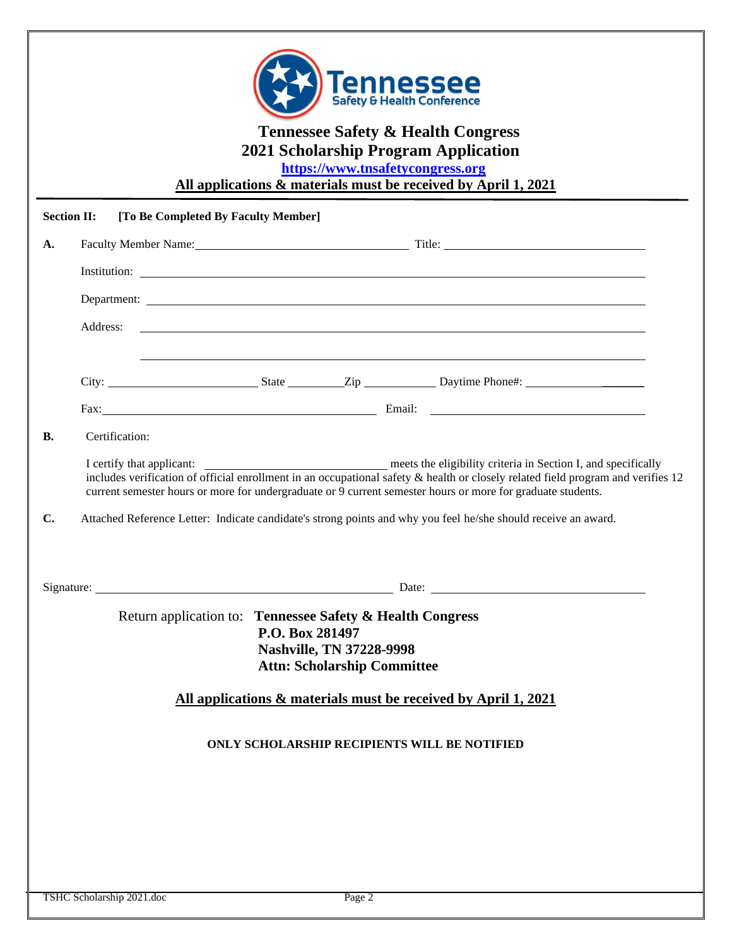| <b>Section II:</b><br>[To Be Completed By Faculty Member]<br>A.<br>Address:<br>,我们也不会有什么。""我们的人,我们也不会有什么?""我们的人,我们也不会有什么?""我们的人,我们也不会有什么?""我们的人,我们也不会有什么?""我们的人<br>Fax: Email: Email: Email: Email: Email: Email: Email: Email: Email: Email: Email: Email: Email: Email: Email: Email: Email: Email: Email: Email: Email: Email: Email: Email: Email: Email: Email: Email: Email: Email: Email:<br>Certification:<br>В.<br>current semester hours or more for undergraduate or 9 current semester hours or more for graduate students.<br>$\mathbf{C}$ .<br>Attached Reference Letter: Indicate candidate's strong points and why you feel he/she should receive an award.<br>Return application to: Tennessee Safety & Health Congress<br>P.O. Box 281497<br><b>Nashville, TN 37228-9998</b><br><b>Attn: Scholarship Committee</b><br>All applications & materials must be received by April 1, 2021 | <b>Tennessee Safety &amp; Health Congress</b><br>2021 Scholarship Program Application<br>https://www.tnsafetycongress.org<br>All applications & materials must be received by April 1, 2021 |
|--------------------------------------------------------------------------------------------------------------------------------------------------------------------------------------------------------------------------------------------------------------------------------------------------------------------------------------------------------------------------------------------------------------------------------------------------------------------------------------------------------------------------------------------------------------------------------------------------------------------------------------------------------------------------------------------------------------------------------------------------------------------------------------------------------------------------------------------------------------------------------------------------------|---------------------------------------------------------------------------------------------------------------------------------------------------------------------------------------------|
|                                                                                                                                                                                                                                                                                                                                                                                                                                                                                                                                                                                                                                                                                                                                                                                                                                                                                                        |                                                                                                                                                                                             |
|                                                                                                                                                                                                                                                                                                                                                                                                                                                                                                                                                                                                                                                                                                                                                                                                                                                                                                        |                                                                                                                                                                                             |
|                                                                                                                                                                                                                                                                                                                                                                                                                                                                                                                                                                                                                                                                                                                                                                                                                                                                                                        |                                                                                                                                                                                             |
|                                                                                                                                                                                                                                                                                                                                                                                                                                                                                                                                                                                                                                                                                                                                                                                                                                                                                                        |                                                                                                                                                                                             |
|                                                                                                                                                                                                                                                                                                                                                                                                                                                                                                                                                                                                                                                                                                                                                                                                                                                                                                        |                                                                                                                                                                                             |
|                                                                                                                                                                                                                                                                                                                                                                                                                                                                                                                                                                                                                                                                                                                                                                                                                                                                                                        |                                                                                                                                                                                             |
|                                                                                                                                                                                                                                                                                                                                                                                                                                                                                                                                                                                                                                                                                                                                                                                                                                                                                                        |                                                                                                                                                                                             |
|                                                                                                                                                                                                                                                                                                                                                                                                                                                                                                                                                                                                                                                                                                                                                                                                                                                                                                        |                                                                                                                                                                                             |
|                                                                                                                                                                                                                                                                                                                                                                                                                                                                                                                                                                                                                                                                                                                                                                                                                                                                                                        | includes verification of official enrollment in an occupational safety & health or closely related field program and verifies 12                                                            |
|                                                                                                                                                                                                                                                                                                                                                                                                                                                                                                                                                                                                                                                                                                                                                                                                                                                                                                        |                                                                                                                                                                                             |
|                                                                                                                                                                                                                                                                                                                                                                                                                                                                                                                                                                                                                                                                                                                                                                                                                                                                                                        |                                                                                                                                                                                             |
|                                                                                                                                                                                                                                                                                                                                                                                                                                                                                                                                                                                                                                                                                                                                                                                                                                                                                                        |                                                                                                                                                                                             |
| ONLY SCHOLARSHIP RECIPIENTS WILL BE NOTIFIED                                                                                                                                                                                                                                                                                                                                                                                                                                                                                                                                                                                                                                                                                                                                                                                                                                                           |                                                                                                                                                                                             |
|                                                                                                                                                                                                                                                                                                                                                                                                                                                                                                                                                                                                                                                                                                                                                                                                                                                                                                        |                                                                                                                                                                                             |